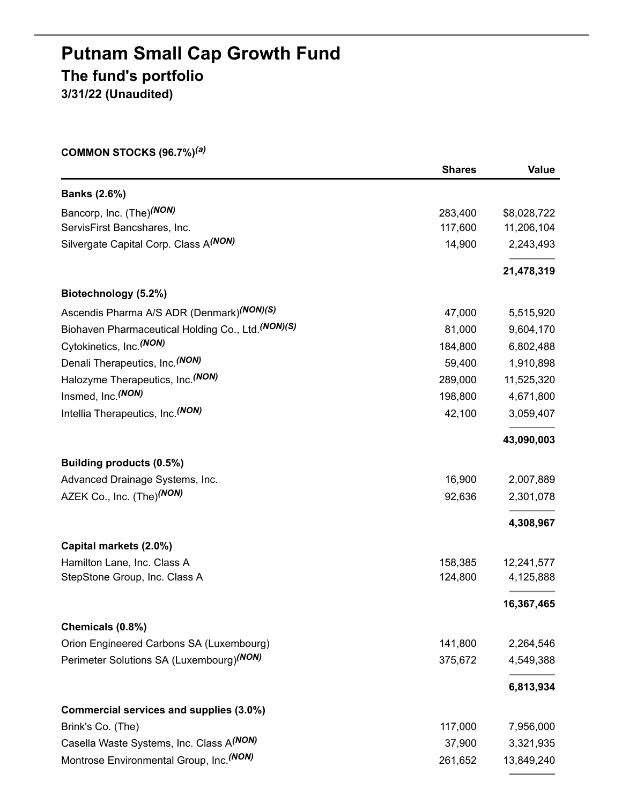## **Putnam Small Cap Growth Fund The fund's portfolio 3/31/22 (Unaudited)**

**COMMON STOCKS (96.7%)** *(a)*

|                                                       | <b>Shares</b> | <b>Value</b> |
|-------------------------------------------------------|---------------|--------------|
| <b>Banks (2.6%)</b>                                   |               |              |
| Bancorp, Inc. (The)(NON)                              | 283,400       | \$8,028,722  |
| ServisFirst Bancshares, Inc.                          | 117,600       | 11,206,104   |
| Silvergate Capital Corp. Class A(NON)                 | 14,900        | 2,243,493    |
|                                                       |               | 21,478,319   |
| Biotechnology (5.2%)                                  |               |              |
| Ascendis Pharma A/S ADR (Denmark) <sup>(NON)(S)</sup> | 47,000        | 5,515,920    |
| Biohaven Pharmaceutical Holding Co., Ltd. (NON)(S)    | 81,000        | 9,604,170    |
| Cytokinetics, Inc. <sup>(NON)</sup>                   | 184,800       | 6,802,488    |
| Denali Therapeutics, Inc. <sup>(NON)</sup>            | 59,400        | 1,910,898    |
| Halozyme Therapeutics, Inc. <sup>(NON)</sup>          | 289,000       | 11,525,320   |
| Insmed, Inc. (NON)                                    | 198,800       | 4,671,800    |
| Intellia Therapeutics, Inc. (NON)                     | 42,100        | 3,059,407    |
|                                                       |               | 43,090,003   |
| Building products (0.5%)                              |               |              |
| Advanced Drainage Systems, Inc.                       | 16,900        | 2,007,889    |
| AZEK Co., Inc. (The) <sup>(NON)</sup>                 | 92,636        | 2,301,078    |
|                                                       |               | 4,308,967    |
| Capital markets (2.0%)                                |               |              |
| Hamilton Lane, Inc. Class A                           | 158,385       | 12,241,577   |
| StepStone Group, Inc. Class A                         | 124,800       | 4,125,888    |
|                                                       |               | 16,367,465   |
| Chemicals (0.8%)                                      |               |              |
| Orion Engineered Carbons SA (Luxembourg)              | 141,800       | 2,264,546    |
| Perimeter Solutions SA (Luxembourg)(NON)              | 375,672       | 4,549,388    |
|                                                       |               | 6,813,934    |
| Commercial services and supplies (3.0%)               |               |              |
| Brink's Co. (The)                                     | 117,000       | 7,956,000    |
| Casella Waste Systems, Inc. Class A(NON)              | 37,900        | 3,321,935    |
| Montrose Environmental Group, Inc. (NON)              | 261,652       | 13,849,240   |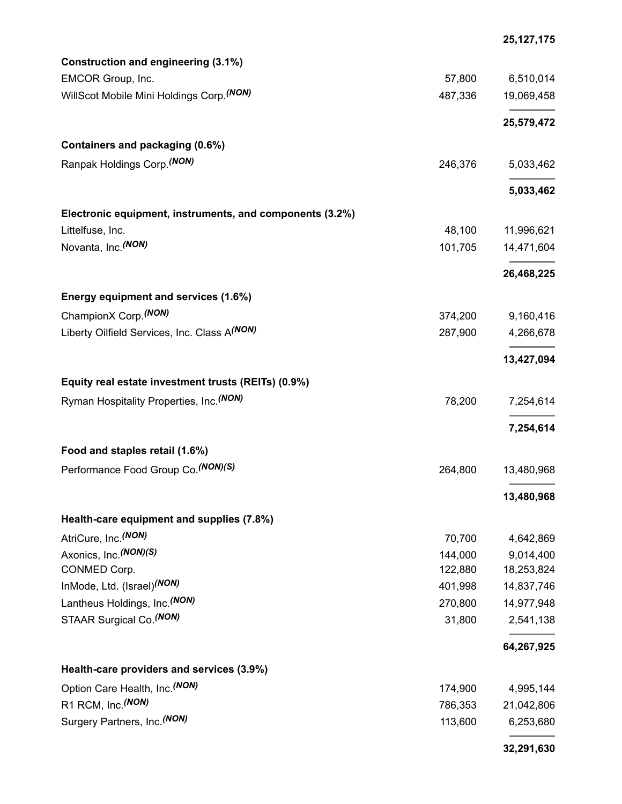|                                                          |         | 25, 127, 175 |
|----------------------------------------------------------|---------|--------------|
| Construction and engineering (3.1%)                      |         |              |
| EMCOR Group, Inc.                                        | 57,800  | 6,510,014    |
| WillScot Mobile Mini Holdings Corp. (NON)                | 487,336 | 19,069,458   |
|                                                          |         |              |
|                                                          |         | 25,579,472   |
| Containers and packaging (0.6%)                          |         |              |
| Ranpak Holdings Corp. (NON)                              | 246,376 | 5,033,462    |
|                                                          |         |              |
|                                                          |         | 5,033,462    |
| Electronic equipment, instruments, and components (3.2%) |         |              |
| Littelfuse, Inc.                                         | 48,100  | 11,996,621   |
| Novanta, Inc. (NON)                                      | 101,705 | 14,471,604   |
|                                                          |         |              |
|                                                          |         | 26,468,225   |
| Energy equipment and services (1.6%)                     |         |              |
| ChampionX Corp. <sup>(NON)</sup>                         | 374,200 | 9,160,416    |
| Liberty Oilfield Services, Inc. Class A(NON)             | 287,900 | 4,266,678    |
|                                                          |         |              |
|                                                          |         | 13,427,094   |
| Equity real estate investment trusts (REITs) (0.9%)      |         |              |
| Ryman Hospitality Properties, Inc. (NON)                 | 78,200  | 7,254,614    |
|                                                          |         |              |
|                                                          |         | 7,254,614    |
| Food and staples retail (1.6%)                           |         |              |
| Performance Food Group Co. (NON)(S)                      | 264,800 | 13,480,968   |
|                                                          |         |              |
|                                                          |         | 13,480,968   |
| Health-care equipment and supplies (7.8%)                |         |              |
| AtriCure, Inc. <sup>(NON)</sup>                          | 70,700  | 4,642,869    |
| Axonics, Inc. (NON)(S)                                   | 144,000 | 9,014,400    |
| CONMED Corp.                                             | 122,880 | 18,253,824   |
| InMode, Ltd. (Israel) <sup>(NON)</sup>                   | 401,998 | 14,837,746   |
| Lantheus Holdings, Inc. (NON)                            | 270,800 | 14,977,948   |
| STAAR Surgical Co. (NON)                                 | 31,800  | 2,541,138    |
|                                                          |         |              |
|                                                          |         | 64,267,925   |
| Health-care providers and services (3.9%)                |         |              |
| Option Care Health, Inc. (NON)                           | 174,900 | 4,995,144    |
| R1 RCM, Inc. (NON)                                       | 786,353 | 21,042,806   |
| Surgery Partners, Inc. (NON)                             | 113,600 | 6,253,680    |
|                                                          |         |              |
|                                                          |         | 32,291,630   |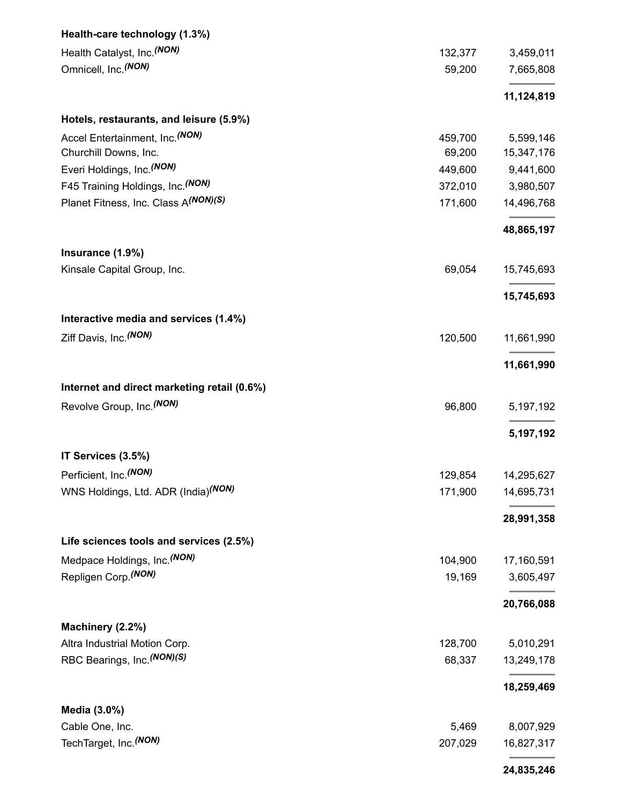| Health-care technology (1.3%)               |         |            |
|---------------------------------------------|---------|------------|
| Health Catalyst, Inc. (NON)                 | 132,377 | 3,459,011  |
| Omnicell, Inc. <sup>(NON)</sup>             | 59,200  | 7,665,808  |
|                                             |         | 11,124,819 |
| Hotels, restaurants, and leisure (5.9%)     |         |            |
| Accel Entertainment, Inc. <sup>(NON)</sup>  | 459,700 | 5,599,146  |
| Churchill Downs, Inc.                       | 69,200  | 15,347,176 |
| Everi Holdings, Inc. (NON)                  | 449,600 | 9,441,600  |
| F45 Training Holdings, Inc. (NON)           | 372,010 | 3,980,507  |
| Planet Fitness, Inc. Class A(NON)(S)        | 171,600 | 14,496,768 |
|                                             |         | 48,865,197 |
| Insurance (1.9%)                            |         |            |
| Kinsale Capital Group, Inc.                 | 69,054  | 15,745,693 |
|                                             |         | 15,745,693 |
| Interactive media and services (1.4%)       |         |            |
| Ziff Davis, Inc. (NON)                      | 120,500 | 11,661,990 |
|                                             |         | 11,661,990 |
| Internet and direct marketing retail (0.6%) |         |            |
| Revolve Group, Inc. (NON)                   | 96,800  | 5,197,192  |
|                                             |         | 5,197,192  |
|                                             |         |            |
| IT Services (3.5%)                          |         |            |
| Perficient, Inc. <sup>(NON)</sup>           | 129,854 | 14,295,627 |
| WNS Holdings, Ltd. ADR (India)(NON)         | 171,900 | 14,695,731 |
|                                             |         | 28,991,358 |
| Life sciences tools and services (2.5%)     |         |            |
| Medpace Holdings, Inc. (NON)                | 104,900 | 17,160,591 |
| Repligen Corp. (NON)                        | 19,169  | 3,605,497  |
|                                             |         | 20,766,088 |
| Machinery (2.2%)                            |         |            |
| Altra Industrial Motion Corp.               | 128,700 | 5,010,291  |
| RBC Bearings, Inc. (NON)(S)                 | 68,337  | 13,249,178 |
|                                             |         | 18,259,469 |
| Media (3.0%)                                |         |            |
| Cable One, Inc.                             | 5,469   | 8,007,929  |
| TechTarget, Inc. (NON)                      | 207,029 | 16,827,317 |
|                                             |         | 24,835,246 |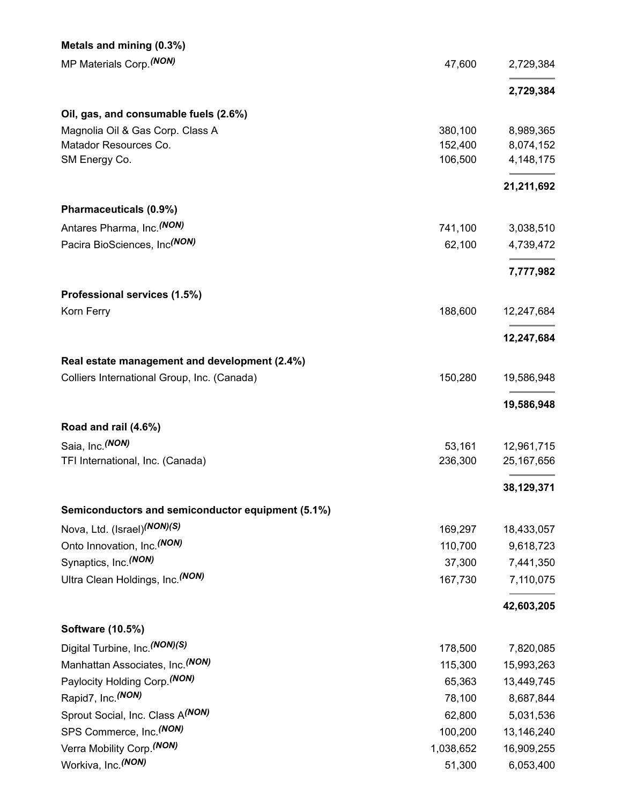| Metals and mining (0.3%)                          |           |              |
|---------------------------------------------------|-----------|--------------|
| MP Materials Corp. (NON)                          | 47,600    | 2,729,384    |
|                                                   |           | 2,729,384    |
| Oil, gas, and consumable fuels (2.6%)             |           |              |
| Magnolia Oil & Gas Corp. Class A                  | 380,100   | 8,989,365    |
| Matador Resources Co.                             | 152,400   | 8,074,152    |
| SM Energy Co.                                     | 106,500   | 4,148,175    |
|                                                   |           | 21,211,692   |
| Pharmaceuticals (0.9%)                            |           |              |
| Antares Pharma, Inc. <sup>(NON)</sup>             | 741,100   | 3,038,510    |
| Pacira BioSciences, Inc <sup>(NON)</sup>          | 62,100    | 4,739,472    |
|                                                   |           | 7,777,982    |
| Professional services (1.5%)                      |           |              |
| Korn Ferry                                        | 188,600   | 12,247,684   |
|                                                   |           | 12,247,684   |
| Real estate management and development (2.4%)     |           |              |
| Colliers International Group, Inc. (Canada)       | 150,280   | 19,586,948   |
|                                                   |           | 19,586,948   |
| Road and rail (4.6%)                              |           |              |
| Saia, Inc. (NON)                                  | 53,161    | 12,961,715   |
| TFI International, Inc. (Canada)                  | 236,300   | 25, 167, 656 |
|                                                   |           | 38,129,371   |
| Semiconductors and semiconductor equipment (5.1%) |           |              |
| Nova, Ltd. (Israel)(NON)(S)                       | 169,297   | 18,433,057   |
| Onto Innovation, Inc. <sup>(NON)</sup>            | 110,700   | 9,618,723    |
| Synaptics, Inc. (NON)                             | 37,300    | 7,441,350    |
| Ultra Clean Holdings, Inc. (NON)                  | 167,730   | 7,110,075    |
|                                                   |           | 42,603,205   |
| <b>Software (10.5%)</b>                           |           |              |
| Digital Turbine, Inc. (NON)(S)                    | 178,500   | 7,820,085    |
| Manhattan Associates, Inc. (NON)                  | 115,300   | 15,993,263   |
| Paylocity Holding Corp. (NON)                     | 65,363    | 13,449,745   |
| Rapid7, Inc. (NON)                                | 78,100    | 8,687,844    |
| Sprout Social, Inc. Class A(NON)                  | 62,800    | 5,031,536    |
| SPS Commerce, Inc. (NON)                          | 100,200   | 13,146,240   |
| Verra Mobility Corp. (NON)                        | 1,038,652 | 16,909,255   |
| Workiva, Inc. (NON)                               | 51,300    | 6,053,400    |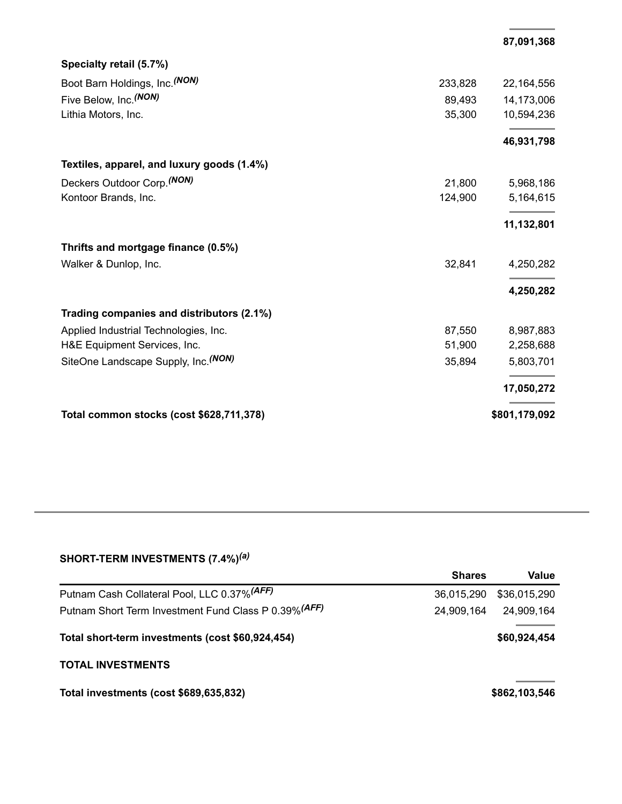| Specialty retail (5.7%)                    |         |               |
|--------------------------------------------|---------|---------------|
| Boot Barn Holdings, Inc. (NON)             | 233,828 | 22,164,556    |
| Five Below, Inc. (NON)                     | 89,493  | 14,173,006    |
| Lithia Motors, Inc.                        | 35,300  | 10,594,236    |
|                                            |         | 46,931,798    |
| Textiles, apparel, and luxury goods (1.4%) |         |               |
| Deckers Outdoor Corp. <sup>(NON)</sup>     | 21,800  | 5,968,186     |
| Kontoor Brands, Inc.                       | 124,900 | 5,164,615     |
|                                            |         | 11,132,801    |
| Thrifts and mortgage finance (0.5%)        |         |               |
| Walker & Dunlop, Inc.                      | 32,841  | 4,250,282     |
|                                            |         | 4,250,282     |
| Trading companies and distributors (2.1%)  |         |               |
| Applied Industrial Technologies, Inc.      | 87,550  | 8,987,883     |
| H&E Equipment Services, Inc.               | 51,900  | 2,258,688     |
| SiteOne Landscape Supply, Inc. (NON)       | 35,894  | 5,803,701     |
|                                            |         | 17,050,272    |
| Total common stocks (cost \$628,711,378)   |         | \$801,179,092 |

**87,091,368**

#### **SHORT-TERM INVESTMENTS (7.4%)** *(a)*

|                                                       | <b>Shares</b> | Value         |
|-------------------------------------------------------|---------------|---------------|
| Putnam Cash Collateral Pool, LLC 0.37% (AFF)          | 36.015.290    | \$36,015,290  |
| Putnam Short Term Investment Fund Class P 0.39% (AFF) | 24,909,164    | 24,909,164    |
| Total short-term investments (cost \$60,924,454)      |               | \$60,924,454  |
| <b>TOTAL INVESTMENTS</b>                              |               |               |
| Total investments (cost \$689,635,832)                |               | \$862,103,546 |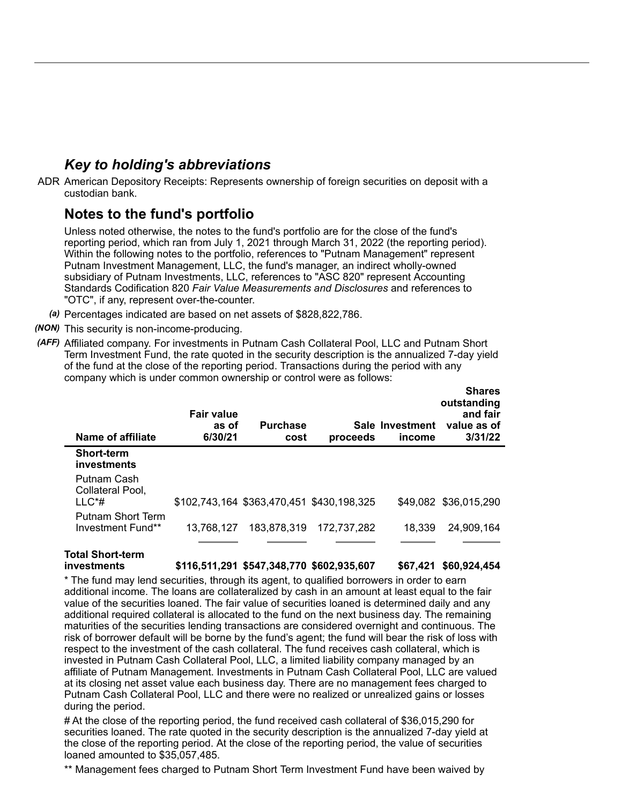### *Key to holding's abbreviations*

ADR American Depository Receipts: Represents ownership of foreign securities on deposit with a custodian bank.

#### **Notes to the fund's portfolio**

Unless noted otherwise, the notes to the fund's portfolio are for the close of the fund's reporting period, which ran from July 1, 2021 through March 31, 2022 (the reporting period). Within the following notes to the portfolio, references to "Putnam Management" represent Putnam Investment Management, LLC, the fund's manager, an indirect wholly-owned subsidiary of Putnam Investments, LLC, references to "ASC 820" represent Accounting Standards Codification 820 *Fair Value Measurements and Disclosures* and references to "OTC", if any, represent over-the-counter.

- *(a)* Percentages indicated are based on net assets of \$828,822,786.
- *(NON)* This security is non-income-producing.
- *(AFF)* Affiliated company. For investments in Putnam Cash Collateral Pool, LLC and Putnam Short Term Investment Fund, the rate quoted in the security description is the annualized 7-day yield of the fund at the close of the reporting period. Transactions during the period with any company which is under common ownership or control were as follows:

| Name of affiliate                             | <b>Fair value</b><br>as of<br>6/30/21 | <b>Purchase</b><br>cost | proceeds                                  | Sale Investment<br>income | outstanding<br>and fair<br>value as of<br>3/31/22 |
|-----------------------------------------------|---------------------------------------|-------------------------|-------------------------------------------|---------------------------|---------------------------------------------------|
| <b>Short-term</b><br>investments              |                                       |                         |                                           |                           |                                                   |
| Putnam Cash<br>Collateral Pool,               |                                       |                         |                                           |                           |                                                   |
| $LLC^*$ #                                     |                                       |                         | \$102,743,164 \$363,470,451 \$430,198,325 |                           | \$49,082 \$36,015,290                             |
| <b>Putnam Short Term</b><br>Investment Fund** | 13.768.127                            | 183,878,319             | 172.737.282                               | 18.339                    | 24,909,164                                        |

# **Total Short-term**

**investments \$116,511,291 \$547,348,770 \$602,935,607 \$67,421 \$60,924,454**

**Shares**

\* The fund may lend securities, through its agent, to qualified borrowers in order to earn additional income. The loans are collateralized by cash in an amount at least equal to the fair value of the securities loaned. The fair value of securities loaned is determined daily and any additional required collateral is allocated to the fund on the next business day. The remaining maturities of the securities lending transactions are considered overnight and continuous. The risk of borrower default will be borne by the fund's agent; the fund will bear the risk of loss with respect to the investment of the cash collateral. The fund receives cash collateral, which is invested in Putnam Cash Collateral Pool, LLC, a limited liability company managed by an affiliate of Putnam Management. Investments in Putnam Cash Collateral Pool, LLC are valued at its closing net asset value each business day. There are no management fees charged to Putnam Cash Collateral Pool, LLC and there were no realized or unrealized gains or losses during the period.

# At the close of the reporting period, the fund received cash collateral of \$36,015,290 for securities loaned. The rate quoted in the security description is the annualized 7-day yield at the close of the reporting period. At the close of the reporting period, the value of securities loaned amounted to \$35,057,485.

\*\* Management fees charged to Putnam Short Term Investment Fund have been waived by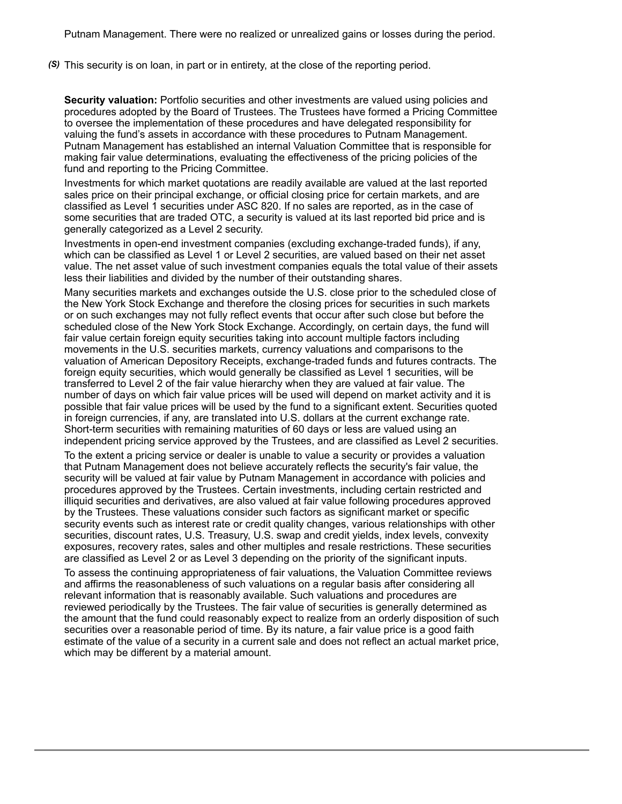Putnam Management. There were no realized or unrealized gains or losses during the period.

*(S)* This security is on loan, in part or in entirety, at the close of the reporting period.

**Security valuation:** Portfolio securities and other investments are valued using policies and procedures adopted by the Board of Trustees. The Trustees have formed a Pricing Committee to oversee the implementation of these procedures and have delegated responsibility for valuing the fund's assets in accordance with these procedures to Putnam Management. Putnam Management has established an internal Valuation Committee that is responsible for making fair value determinations, evaluating the effectiveness of the pricing policies of the fund and reporting to the Pricing Committee.

Investments for which market quotations are readily available are valued at the last reported sales price on their principal exchange, or official closing price for certain markets, and are classified as Level 1 securities under ASC 820. If no sales are reported, as in the case of some securities that are traded OTC, a security is valued at its last reported bid price and is generally categorized as a Level 2 security.

Investments in open-end investment companies (excluding exchange-traded funds), if any, which can be classified as Level 1 or Level 2 securities, are valued based on their net asset value. The net asset value of such investment companies equals the total value of their assets less their liabilities and divided by the number of their outstanding shares.

Many securities markets and exchanges outside the U.S. close prior to the scheduled close of the New York Stock Exchange and therefore the closing prices for securities in such markets or on such exchanges may not fully reflect events that occur after such close but before the scheduled close of the New York Stock Exchange. Accordingly, on certain days, the fund will fair value certain foreign equity securities taking into account multiple factors including movements in the U.S. securities markets, currency valuations and comparisons to the valuation of American Depository Receipts, exchange-traded funds and futures contracts. The foreign equity securities, which would generally be classified as Level 1 securities, will be transferred to Level 2 of the fair value hierarchy when they are valued at fair value. The number of days on which fair value prices will be used will depend on market activity and it is possible that fair value prices will be used by the fund to a significant extent. Securities quoted in foreign currencies, if any, are translated into U.S. dollars at the current exchange rate. Short-term securities with remaining maturities of 60 days or less are valued using an independent pricing service approved by the Trustees, and are classified as Level 2 securities.

To the extent a pricing service or dealer is unable to value a security or provides a valuation that Putnam Management does not believe accurately reflects the security's fair value, the security will be valued at fair value by Putnam Management in accordance with policies and procedures approved by the Trustees. Certain investments, including certain restricted and illiquid securities and derivatives, are also valued at fair value following procedures approved by the Trustees. These valuations consider such factors as significant market or specific security events such as interest rate or credit quality changes, various relationships with other securities, discount rates, U.S. Treasury, U.S. swap and credit yields, index levels, convexity exposures, recovery rates, sales and other multiples and resale restrictions. These securities are classified as Level 2 or as Level 3 depending on the priority of the significant inputs.

To assess the continuing appropriateness of fair valuations, the Valuation Committee reviews and affirms the reasonableness of such valuations on a regular basis after considering all relevant information that is reasonably available. Such valuations and procedures are reviewed periodically by the Trustees. The fair value of securities is generally determined as the amount that the fund could reasonably expect to realize from an orderly disposition of such securities over a reasonable period of time. By its nature, a fair value price is a good faith estimate of the value of a security in a current sale and does not reflect an actual market price, which may be different by a material amount.